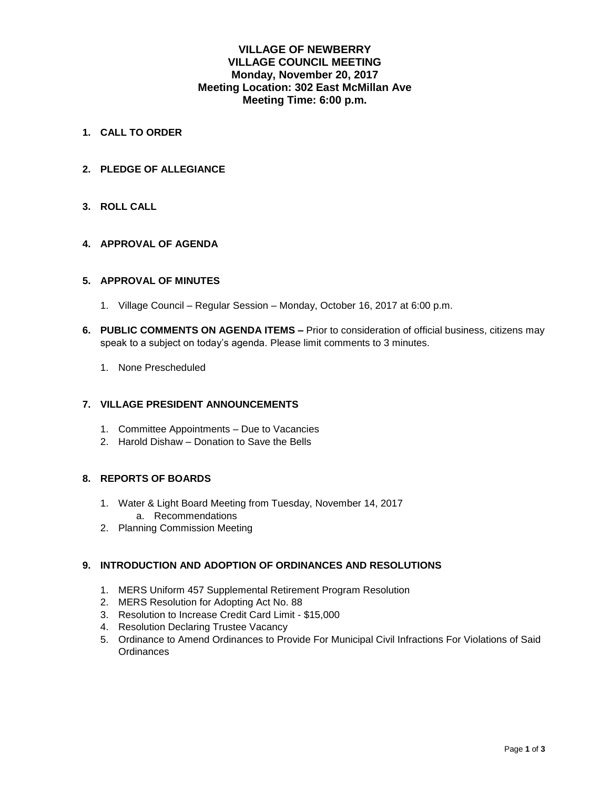# **VILLAGE OF NEWBERRY VILLAGE COUNCIL MEETING Monday, November 20, 2017 Meeting Location: 302 East McMillan Ave Meeting Time: 6:00 p.m.**

- **1. CALL TO ORDER**
- **2. PLEDGE OF ALLEGIANCE**

### **3. ROLL CALL**

### **4. APPROVAL OF AGENDA**

### **5. APPROVAL OF MINUTES**

- 1. Village Council Regular Session Monday, October 16, 2017 at 6:00 p.m.
- **6. PUBLIC COMMENTS ON AGENDA ITEMS –** Prior to consideration of official business, citizens may speak to a subject on today's agenda. Please limit comments to 3 minutes.
	- 1. None Prescheduled

#### **7. VILLAGE PRESIDENT ANNOUNCEMENTS**

- 1. Committee Appointments Due to Vacancies
- 2. Harold Dishaw Donation to Save the Bells

### **8. REPORTS OF BOARDS**

- 1. Water & Light Board Meeting from Tuesday, November 14, 2017
	- a. Recommendations
- 2. Planning Commission Meeting

### **9. INTRODUCTION AND ADOPTION OF ORDINANCES AND RESOLUTIONS**

- 1. MERS Uniform 457 Supplemental Retirement Program Resolution
- 2. MERS Resolution for Adopting Act No. 88
- 3. Resolution to Increase Credit Card Limit \$15,000
- 4. Resolution Declaring Trustee Vacancy
- 5. Ordinance to Amend Ordinances to Provide For Municipal Civil Infractions For Violations of Said **Ordinances**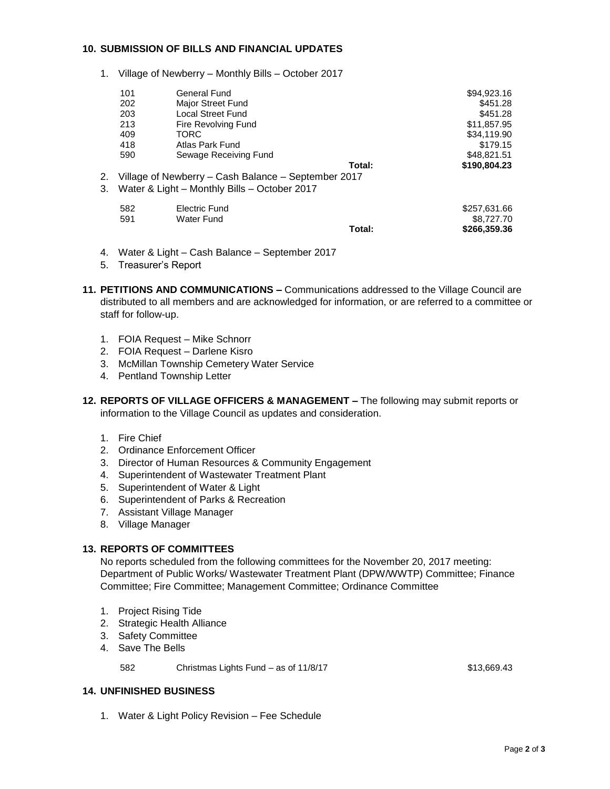### **10. SUBMISSION OF BILLS AND FINANCIAL UPDATES**

1. Village of Newberry – Monthly Bills – October 2017

|    | 101                                                 | General Fund                                 |        | \$94,923.16  |
|----|-----------------------------------------------------|----------------------------------------------|--------|--------------|
|    | 202                                                 | Major Street Fund                            |        | \$451.28     |
|    | 203                                                 | <b>Local Street Fund</b>                     |        | \$451.28     |
|    | 213                                                 | Fire Revolving Fund                          |        | \$11,857.95  |
|    | 409                                                 | TORC                                         |        | \$34,119.90  |
|    | 418                                                 | Atlas Park Fund                              |        | \$179.15     |
|    | 590                                                 | Sewage Receiving Fund                        |        | \$48,821.51  |
|    |                                                     |                                              | Total: | \$190,804.23 |
| 2. | Village of Newberry - Cash Balance - September 2017 |                                              |        |              |
| 3. |                                                     | Water & Light - Monthly Bills - October 2017 |        |              |
|    |                                                     |                                              |        |              |
|    | 582                                                 | Electric Fund                                |        | \$257,631.66 |
|    | 591                                                 | Water Fund                                   |        | \$8,727.70   |
|    |                                                     |                                              | Total: | \$266,359.36 |
|    |                                                     |                                              |        |              |

- 4. Water & Light Cash Balance September 2017
- 5. Treasurer's Report
- **11. PETITIONS AND COMMUNICATIONS –** Communications addressed to the Village Council are distributed to all members and are acknowledged for information, or are referred to a committee or staff for follow-up.
	- 1. FOIA Request Mike Schnorr
	- 2. FOIA Request Darlene Kisro
	- 3. McMillan Township Cemetery Water Service
	- 4. Pentland Township Letter
- **12. REPORTS OF VILLAGE OFFICERS & MANAGEMENT –** The following may submit reports or information to the Village Council as updates and consideration.
	- 1. Fire Chief
	- 2. Ordinance Enforcement Officer
	- 3. Director of Human Resources & Community Engagement
	- 4. Superintendent of Wastewater Treatment Plant
	- 5. Superintendent of Water & Light
	- 6. Superintendent of Parks & Recreation
	- 7. Assistant Village Manager
	- 8. Village Manager

#### **13. REPORTS OF COMMITTEES**

No reports scheduled from the following committees for the November 20, 2017 meeting: Department of Public Works/ Wastewater Treatment Plant (DPW/WWTP) Committee; Finance Committee; Fire Committee; Management Committee; Ordinance Committee

- 1. Project Rising Tide
- 2. Strategic Health Alliance
- 3. Safety Committee
- 4. Save The Bells

582 Christmas Lights Fund – as of 11/8/17 **\$13,669.43** 

## **14. UNFINISHED BUSINESS**

1. Water & Light Policy Revision – Fee Schedule